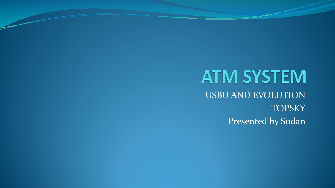## **ATM SYSTEM** USBU AND EVOLUTION **TOPSKY** Presented by Sudan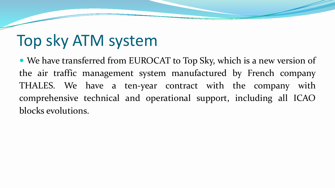# Top sky ATM system

 We have transferred from EUROCAT to Top Sky, which is a new version of the air traffic management system manufactured by French company THALES. We have a ten-year contract with the company with comprehensive technical and operational support, including all ICAO blocks evolutions.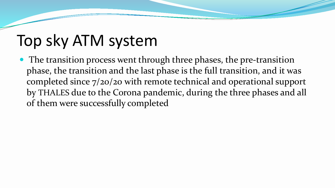# Top sky ATM system

• The transition process went through three phases, the pre-transition phase, the transition and the last phase is the full transition, and it was completed since 7/20/20 with remote technical and operational support by THALES due to the Corona pandemic, during the three phases and all of them were successfully completed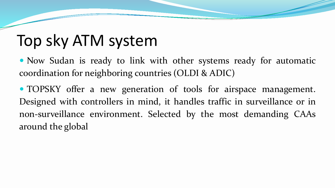# Top sky ATM system

• Now Sudan is ready to link with other systems ready for automatic coordination for neighboring countries (OLDI & ADIC)

 TOPSKY offer a new generation of tools for airspace management. Designed with controllers in mind, it handles traffic in surveillance or in non-surveillance environment. Selected by the most demanding CAAs around the global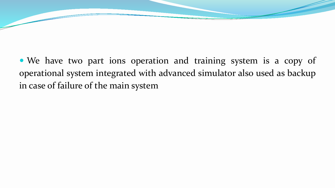We have two part ions operation and training system is a copy of operational system integrated with advanced simulator also used as backup in case of failure of the main system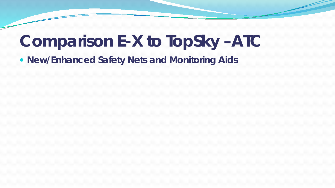## **Comparison E-X to TopSky –ATC**

**New/Enhanced Safety Nets and Monitoring Aids**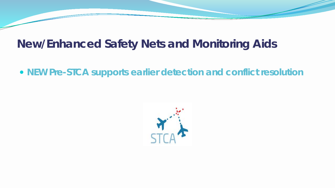#### **NEW Pre-STCA supports earlier detection and conflict resolution**

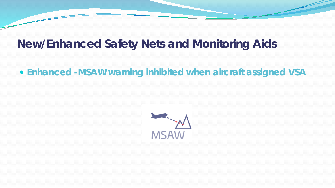#### **Enhanced -MSAW warning inhibited when aircraft assigned VSA**

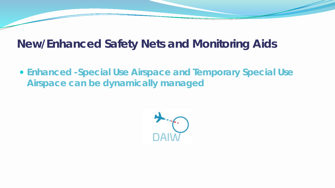**Enhanced -Special Use Airspace and Temporary Special Use Airspace can be dynamically managed**

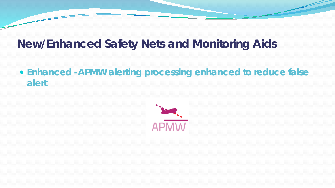**Enhanced -APMW alerting processing enhanced to reduce false alert** 

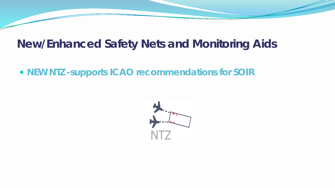#### **NEW NTZ -supports ICAO recommendations for SOIR**

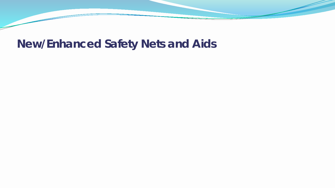## **New/Enhanced Safety Nets and Aids**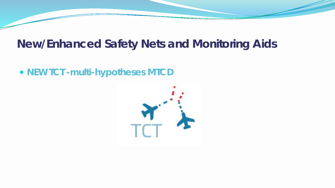#### **NEW TCT -multi-hypotheses MTCD**

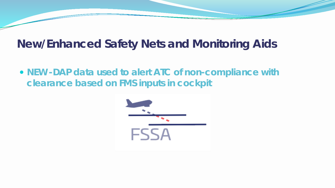**NEW -DAP data used to alert ATC of non-compliance with clearance based on FMS inputs in cockpit**

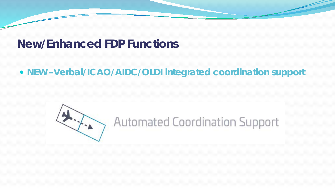#### **NEW –Verbal/ICAO/AIDC/OLDI integrated coordination support**

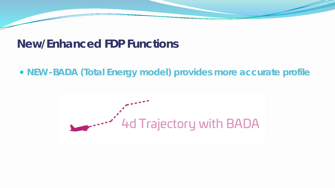#### **NEW -BADA (Total Energy model) provides more accurate profile**

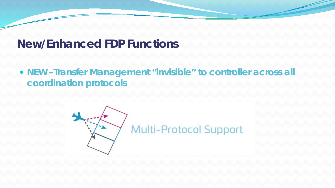#### **NEW –Transfer Management "invisible" to controller across all coordination protocols**

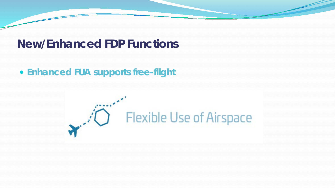#### **Enhanced FUA supports free-flight**

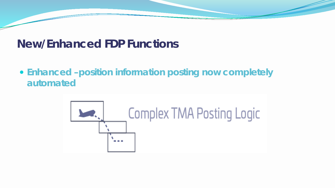#### **Enhanced –position information posting now completely automated**

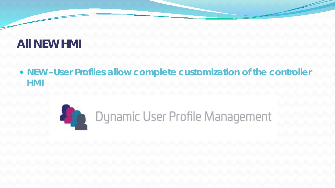#### **NEW –User Profiles allow complete customization of the controller HMI**

## Dynamic User Profile Management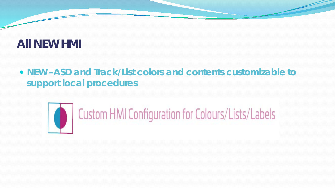### **NEW –ASD and Track/List colors and contents customizable to support local procedures**



# Custom HMI Configuration for Colours/Lists/Labels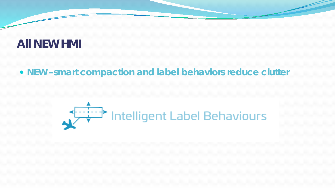#### **NEW –smart compaction and label behaviors reduce clutter**

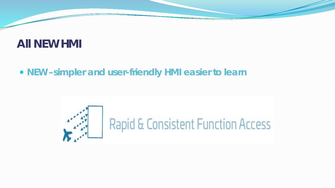#### **NEW –simpler and user-friendly HMI easier to learn**

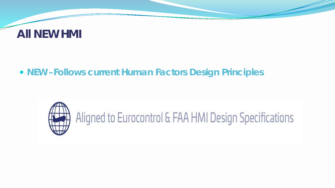#### **NEW –Follows current Human Factors Design Principles**

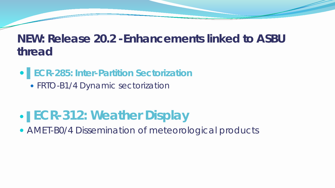### ▌**ECR-285: Inter-Partition Sectorization**

• FRTO-B1/4 Dynamic sectorization

## ▌**ECR-312: Weather Display**

AMET-B0/4 Dissemination of meteorological products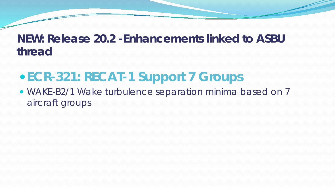## **ECR-321: RECAT-1 Support 7 Groups**

 WAKE-B2/1 Wake turbulence separation minima based on 7 aircraft groups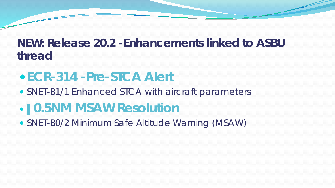## **ECR-314 -Pre-STCA Alert**

• SNET-B1/1 Enhanced STCA with aircraft parameters

## ▌**0.5NM MSAW Resolution**

SNET-B0/2 Minimum Safe Altitude Warning (MSAW)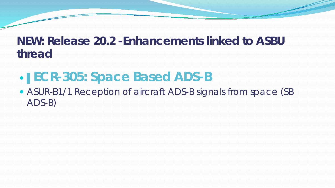## ▌**ECR-305: Space Based ADS-B**

• ASUR-B1/1 Reception of aircraft ADS-B signals from space (SB ADS-B)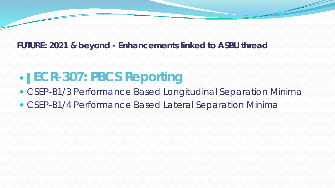## ▌**ECR-307: PBCS Reporting**

- CSEP-B1/3 Performance Based Longitudinal Separation Minima
- CSEP-B1/4 Performance Based Lateral Separation Minima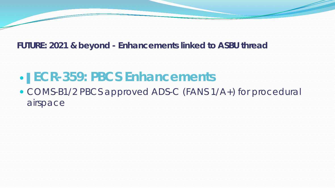## ▌**ECR-359: PBCS Enhancements**

 COMS-B1/2 PBCS approved ADS-C (FANS 1/A+) for procedural airspace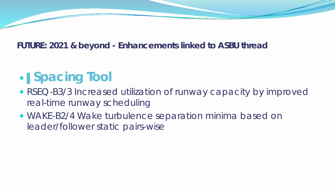# ▌**Spacing Tool**

- RSEQ-B3/3 Increased utilization of runway capacity by improved real-time runway scheduling
- WAKE-B2/4 Wake turbulence separation minima based on leader/follower static pairs-wise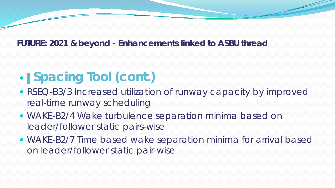# ▌**Spacing Tool (cont.)**

- RSEQ-B3/3 Increased utilization of runway capacity by improved real-time runway scheduling
- WAKE-B2/4 Wake turbulence separation minima based on leader/follower static pairs-wise
- WAKE-B2/7 Time based wake separation minima for arrival based on leader/follower static pair-wise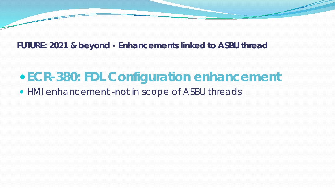## *ECR-380: FDL Configuration enhancement*

*HMI enhancement -not in scope of ASBU threads*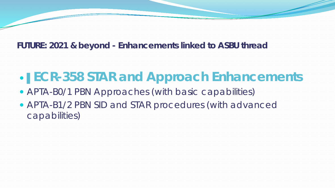## ▌**ECR-358 STAR and Approach Enhancements**

- APTA-B0/1 PBN Approaches (with basic capabilities)
- APTA-B1/2 PBN SID and STAR procedures (with advanced capabilities)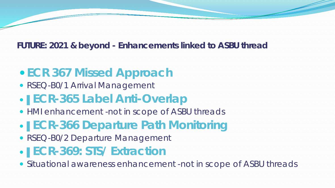## **ECR 367 Missed Approach**

• RSEQ-B0/1 Arrival Management

## ▌*ECR-365 Label Anti-Overlap*

- *HMI enhancement -not in scope of ASBU threads*
- ▌**ECR-366 Departure Path Monitoring**
- RSEQ-B0/2 Departure Management
- ▌*ECR-369: STS/ Extraction*
- *Situational awareness enhancement -not in scope of ASBU threads*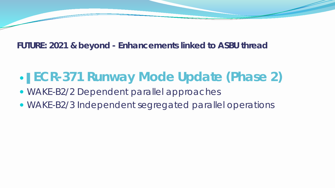## ▌**ECR-371 Runway Mode Update (Phase 2)**

- WAKE-B2/2 Dependent parallel approaches
- WAKE-B2/3 Independent segregated parallel operations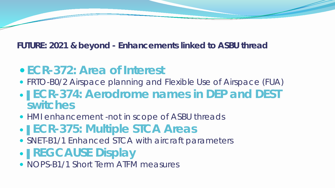- **ECR-372: Area of Interest**
- FRTO-B0/2 Airspace planning and Flexible Use of Airspace (FUA)
- ▌*ECR-374: Aerodrome names in DEP and DEST switches*
- *HMI enhancement -not in scope of ASBU threads*
- ▌**ECR-375: Multiple STCA Areas**
- SNET-B1/1 Enhanced STCA with aircraft parameters
- ▌**REGCAUSE Display**
- NOPS-B1/1 Short Term ATFM measures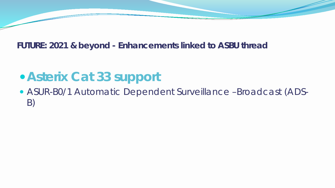## **Asterix Cat 33 support**

 ASUR-B0/1 Automatic Dependent Surveillance –Broadcast (ADS-B)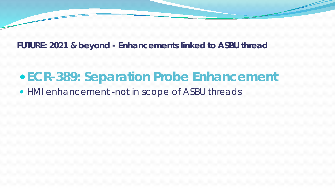## *ECR-389: Separation Probe Enhancement*

*HMI enhancement -not in scope of ASBU threads*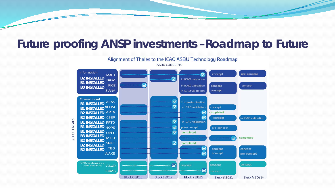### **Future proofing ANSP investments –Roadmap to Future**

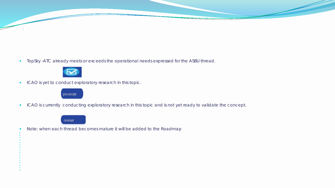TopSky -ATC already meets or exceeds the operational needs expressed for the ASBU thread.



ICAO is yet to conduct exploratory research in this topic.



ICAO is currently conducting exploratory research in this topic and is not yet ready to validate the concept.



**B** Installed by the second control of the second control of the second control of the second control of the second control of the second control of the second control of the second control of the second control of the sec **B B** Installed by the Market State of the State of the State of the State of the State of the State of the State of the State of the State of the State of the State of the State of the State of the State of the State of the **B B B B** Installation of the state of the state of the **B** Installed by the experimental **B** Installation of the second control of the second control of the second control of the second control of the second control of the second control of the second control of the second control of the second control of the **B B**3 INSTALLED **B B B**2 Installed by the second control of the **B** Installation of the extent of the state of the state of the state of the state of the state of the state of the state of the state of the state of the state of the state of the state of the state of the state of the st **B** Installed by the second control of the second control of the second control of the second control of the second control of the second control of the second control of the second control of the second control of the sec

Note: when each thread becomes mature it will be added to the Roadmap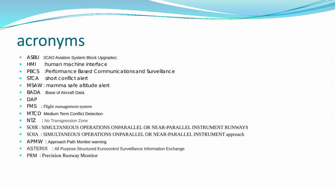## acronyms

- ASBU : ICAO Aviation System Block Upgrades:
- HMI :human machine interface
- PBCS :Performance Based Communications and Surveillance
- STCA :short conflict alert
- MSAW : mamma safe altitude alert
- BADA :Base of Aircraft Data
- DAP
- FMS : Flight management system
- MTCD Medium Term Conflict Detection
- NTZ : No Transgression Zone
- SOIR : SIMULTANEOUS OPERATIONS ONPARALLEL OR NEAR-PARALLEL INSTRUMENT RUNWAYS
- SOIA : SIMULTANEOUS OPERATIONS ONPARALLEL OR NEAR-PARALLEL INSTRUMENT approach
- APMW : Approach Path Monitor warning
- ASTERIX : All Purpose Structured Eurocontrol Surveillance Information Exchange
- PRM : Precision Runway Monitor